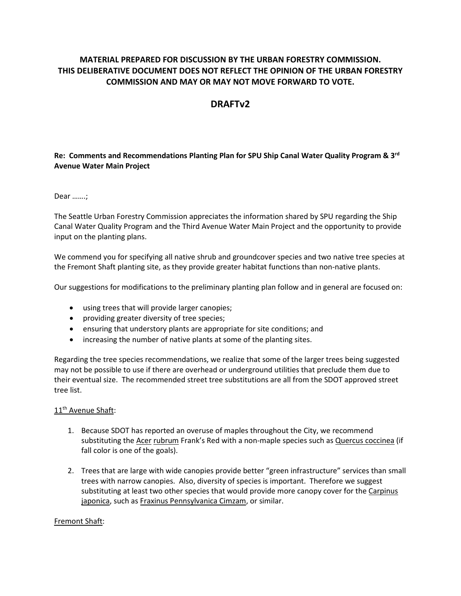## **MATERIAL PREPARED FOR DISCUSSION BY THE URBAN FORESTRY COMMISSION. THIS DELIBERATIVE DOCUMENT DOES NOT REFLECT THE OPINION OF THE URBAN FORESTRY COMMISSION AND MAY OR MAY NOT MOVE FORWARD TO VOTE.**

# **DRAFTv2**

## **Re: Comments and Recommendations Planting Plan for SPU Ship Canal Water Quality Program & 3rd Avenue Water Main Project**

Dear …….;

The Seattle Urban Forestry Commission appreciates the information shared by SPU regarding the Ship Canal Water Quality Program and the Third Avenue Water Main Project and the opportunity to provide input on the planting plans.

We commend you for specifying all native shrub and groundcover species and two native tree species at the Fremont Shaft planting site, as they provide greater habitat functions than non-native plants.

Our suggestions for modifications to the preliminary planting plan follow and in general are focused on:

- using trees that will provide larger canopies;
- providing greater diversity of tree species;
- ensuring that understory plants are appropriate for site conditions; and
- increasing the number of native plants at some of the planting sites.

Regarding the tree species recommendations, we realize that some of the larger trees being suggested may not be possible to use if there are overhead or underground utilities that preclude them due to their eventual size. The recommended street tree substitutions are all from the SDOT approved street tree list.

#### 11<sup>th</sup> Avenue Shaft:

- 1. Because SDOT has reported an overuse of maples throughout the City, we recommend substituting the Acer rubrum Frank's Red with a non-maple species such as Quercus coccinea (if fall color is one of the goals).
- 2. Trees that are large with wide canopies provide better "green infrastructure" services than small trees with narrow canopies. Also, diversity of species is important. Therefore we suggest substituting at least two other species that would provide more canopy cover for the Carpinus japonica, such as Fraxinus Pennsylvanica Cimzam, or similar.

#### Fremont Shaft: